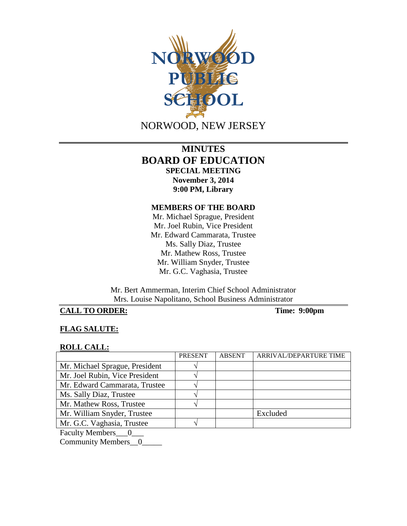

# **MINUTES BOARD OF EDUCATION SPECIAL MEETING November 3, 2014 9:00 PM, Library**

### **MEMBERS OF THE BOARD**

Mr. Michael Sprague, President Mr. Joel Rubin, Vice President Mr. Edward Cammarata, Trustee Ms. Sally Diaz, Trustee Mr. Mathew Ross, Trustee Mr. William Snyder, Trustee Mr. G.C. Vaghasia, Trustee

Mr. Bert Ammerman, Interim Chief School Administrator Mrs. Louise Napolitano, School Business Administrator

## **CALL TO ORDER: Time: 9:00pm**

## **FLAG SALUTE:**

#### **ROLL CALL:**

|                                                                                                                                                                                                                                                                                                                                                                                                                                                                                            | <b>PRESENT</b> | <b>ABSENT</b> | ARRIVAL/DEPARTURE TIME |
|--------------------------------------------------------------------------------------------------------------------------------------------------------------------------------------------------------------------------------------------------------------------------------------------------------------------------------------------------------------------------------------------------------------------------------------------------------------------------------------------|----------------|---------------|------------------------|
| Mr. Michael Sprague, President                                                                                                                                                                                                                                                                                                                                                                                                                                                             |                |               |                        |
| Mr. Joel Rubin, Vice President                                                                                                                                                                                                                                                                                                                                                                                                                                                             |                |               |                        |
| Mr. Edward Cammarata, Trustee                                                                                                                                                                                                                                                                                                                                                                                                                                                              |                |               |                        |
| Ms. Sally Diaz, Trustee                                                                                                                                                                                                                                                                                                                                                                                                                                                                    |                |               |                        |
| Mr. Mathew Ross, Trustee                                                                                                                                                                                                                                                                                                                                                                                                                                                                   |                |               |                        |
| Mr. William Snyder, Trustee                                                                                                                                                                                                                                                                                                                                                                                                                                                                |                |               | Excluded               |
| Mr. G.C. Vaghasia, Trustee                                                                                                                                                                                                                                                                                                                                                                                                                                                                 |                |               |                        |
| $\blacksquare$ $\blacksquare$ $\blacksquare$ $\blacksquare$ $\blacksquare$ $\blacksquare$ $\blacksquare$ $\blacksquare$ $\blacksquare$ $\blacksquare$ $\blacksquare$ $\blacksquare$ $\blacksquare$ $\blacksquare$ $\blacksquare$ $\blacksquare$ $\blacksquare$ $\blacksquare$ $\blacksquare$ $\blacksquare$ $\blacksquare$ $\blacksquare$ $\blacksquare$ $\blacksquare$ $\blacksquare$ $\blacksquare$ $\blacksquare$ $\blacksquare$ $\blacksquare$ $\blacksquare$ $\blacksquare$ $\blacks$ |                |               |                        |

Faculty Members\_\_\_0\_\_\_

Community Members\_0\_